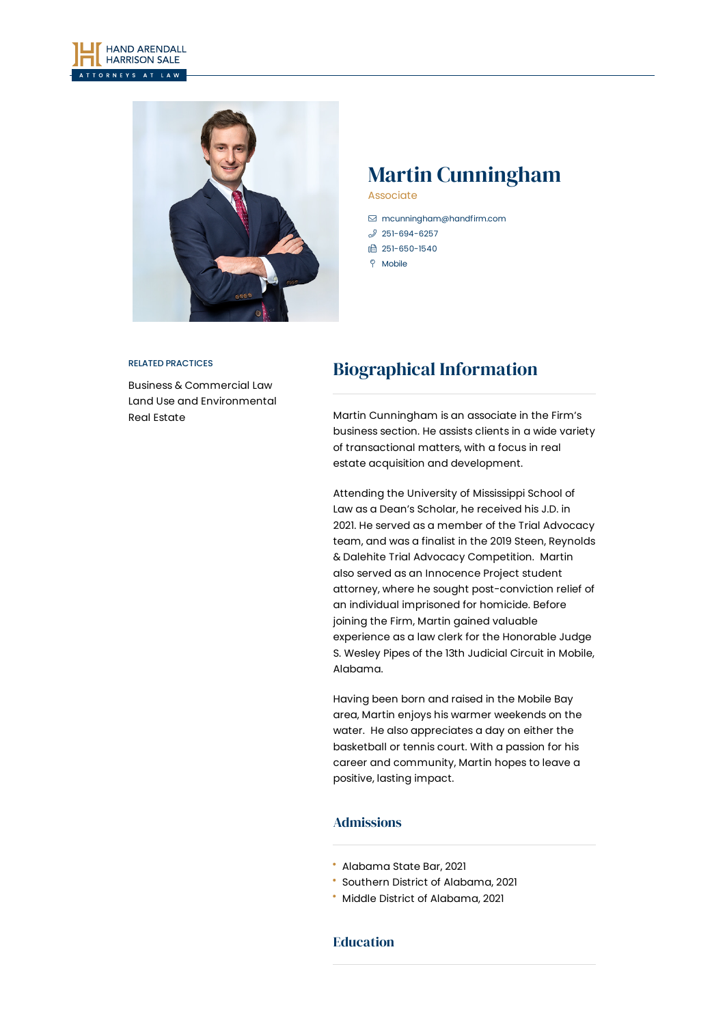



# Martin Cunningham

Associate

- [mcunningham@handfirm.com](mailto:mcunningham@handfirm.com)
- $3$  [251-694-6257](tel:+1-251-694-6257)
- □ 251-650-1540
- **P** Mobile

#### RELATED PRACTICES

Business & [Commercial](https://www.handfirm.com/practices/business-services/business-commercial-law/) Law Land Use and [Environmental](https://www.handfirm.com/practices/business-services/land-use-and-environmental/) Real [Estate](https://www.handfirm.com/practices/industries/real-estate/)

## Biographical Information

Martin Cunningham is an associate in the Firm's business section. He assists clients in a wide variety of transactional matters, with a focus in real estate acquisition and development.

Attending the University of Mississippi School of Law as a Dean's Scholar, he received his J.D. in 2021. He served as a member of the Trial Advocacy team, and was a finalist in the 2019 Steen, Reynolds & Dalehite Trial Advocacy Competition. Martin also served as an Innocence Project student attorney, where he sought post-conviction relief of an individual imprisoned for homicide. Before joining the Firm, Martin gained valuable experience as a law clerk for the Honorable Judge S. Wesley Pipes of the 13th Judicial Circuit in Mobile, Alabama.

Having been born and raised in the Mobile Bay area, Martin enjoys his warmer weekends on the water. He also appreciates a day on either the basketball or tennis court. With a passion for his career and community, Martin hopes to leave a positive, lasting impact.

#### Admissions

- Alabama State Bar, 2021
- Southern District of Alabama, 2021
- Middle District of Alabama, 2021

#### Education